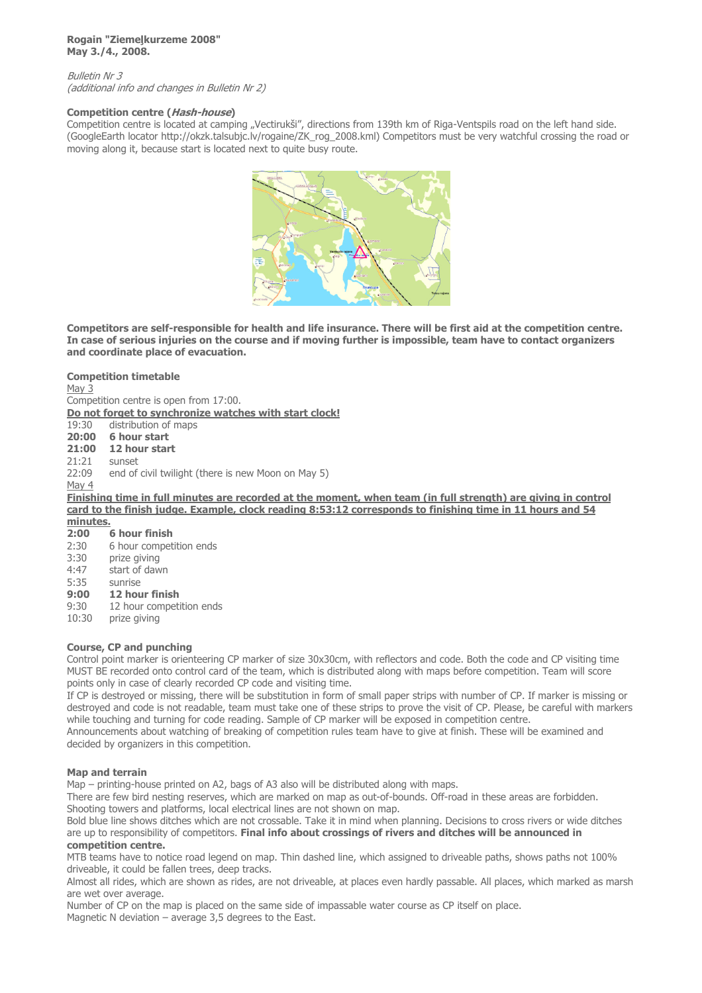#### **Rogain "Ziemeļkurzeme 2008" May 3./4., 2008.**

Bulletin Nr 3 (additional info and changes in Bulletin Nr 2)

### **Competition centre (Hash-house)**

Competition centre is located at camping "Vectirukši", directions from 139th km of Riga-Ventspils road on the left hand side. (GoogleEarth locator http://okzk.talsubjc.lv/rogaine/ZK\_rog\_2008.kml) Competitors must be very watchful crossing the road or moving along it, because start is located next to quite busy route.



**Competitors are self-responsible for health and life insurance. There will be first aid at the competition centre. In case of serious injuries on the course and if moving further is impossible, team have to contact organizers and coordinate place of evacuation.**

### **Competition timetable**

May 3 Competition centre is open from 17:00.

**Do not forget to synchronize watches with start clock!** 

19:30 distribution of maps

**20:00 6 hour start**

**21:00 12 hour start**<br>21:21 sunset

sunset

22:09 end of civil twilight (there is new Moon on May 5)

May 4

**Finishing time in full minutes are recorded at the moment, when team (in full strength) are giving in control card to the finish judge. Example, clock reading 8:53:12 corresponds to finishing time in 11 hours and 54** 

**minutes. 2:00 6 hour finish** 

2:30 6 hour competition ends 3:30 prize giving 4:47 start of dawn 5:35 sunrise

# **9:00 12 hour finish**

9:30 12 hour competition ends

10:30 prize giving

# **Course, CP and punching**

Control point marker is orienteering CP marker of size 30x30cm, with reflectors and code. Both the code and CP visiting time MUST BE recorded onto control card of the team, which is distributed along with maps before competition. Team will score points only in case of clearly recorded CP code and visiting time.

If CP is destroyed or missing, there will be substitution in form of small paper strips with number of CP. If marker is missing or destroyed and code is not readable, team must take one of these strips to prove the visit of CP. Please, be careful with markers while touching and turning for code reading. Sample of CP marker will be exposed in competition centre.

Announcements about watching of breaking of competition rules team have to give at finish. These will be examined and decided by organizers in this competition.

# **Map and terrain**

Map – printing-house printed on A2, bags of A3 also will be distributed along with maps.

There are few bird nesting reserves, which are marked on map as out-of-bounds. Off-road in these areas are forbidden. Shooting towers and platforms, local electrical lines are not shown on map.

Bold blue line shows ditches which are not crossable. Take it in mind when planning. Decisions to cross rivers or wide ditches are up to responsibility of competitors. **Final info about crossings of rivers and ditches will be announced in competition centre.**

MTB teams have to notice road legend on map. Thin dashed line, which assigned to driveable paths, shows paths not 100% driveable, it could be fallen trees, deep tracks.

Almost all rides, which are shown as rides, are not driveable, at places even hardly passable. All places, which marked as marsh are wet over average.

Number of CP on the map is placed on the same side of impassable water course as CP itself on place. Magnetic N deviation – average 3,5 degrees to the East.